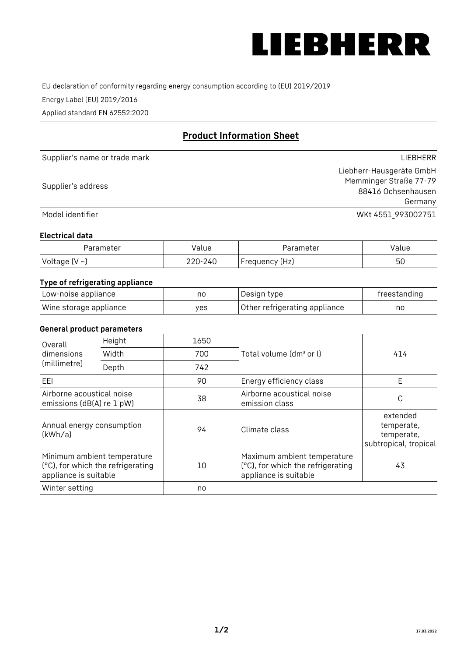

EU declaration of conformity regarding energy consumption according to (EU) 2019/2019

Energy Label (EU) 2019/2016

Applied standard EN 62552:2020

# **Product Information Sheet**

| Supplier's name or trade mark | <b>LIFBHFRR</b>          |
|-------------------------------|--------------------------|
|                               | Liebherr-Hausgeräte GmbH |
| Supplier's address            | Memminger Straße 77-79   |
|                               | 88416 Ochsenhausen       |
|                               | Germany                  |
| Model identifier              | WKt 4551 993002751       |

#### **Electrical data**

| Parameter           | Value   | Parameter      | Value |
|---------------------|---------|----------------|-------|
| Voltage (V $\sim$ ) | 220-240 | Frequency (Hz) | 50    |

# **Type of refrigerating appliance**

| Low-noise appliance    | nc  | Design type                   | freestanding |
|------------------------|-----|-------------------------------|--------------|
| Wine storage appliance | ves | Other refrigerating appliance | no           |

### **General product parameters**

| Height<br>Overall                                      |                                                                  | 1650 |                                                                                           |                                                               |
|--------------------------------------------------------|------------------------------------------------------------------|------|-------------------------------------------------------------------------------------------|---------------------------------------------------------------|
| dimensions<br>(millimetre)                             | Width                                                            | 700  | Total volume (dm <sup>3</sup> or l)                                                       | 414                                                           |
|                                                        | Depth                                                            | 742  |                                                                                           |                                                               |
| EEL                                                    |                                                                  | 90   | Energy efficiency class                                                                   | E                                                             |
| Airborne acoustical noise<br>emissions (dB(A) re 1 pW) |                                                                  | 38   | Airborne acoustical noise<br>emission class                                               | C                                                             |
| Annual energy consumption<br>(kWh/a)                   |                                                                  | 94   | Climate class                                                                             | extended<br>temperate,<br>temperate,<br>subtropical, tropical |
| appliance is suitable                                  | Minimum ambient temperature<br>(°C), for which the refrigerating | 10   | Maximum ambient temperature<br>(°C), for which the refrigerating<br>appliance is suitable | 43                                                            |
| Winter setting                                         |                                                                  | no   |                                                                                           |                                                               |